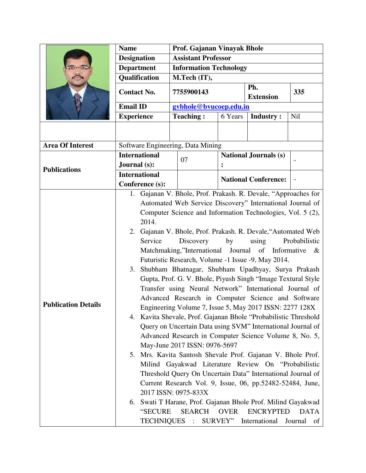|                            | <b>Name</b>                                                                                                                                                                                                                                                                                                                                                                                                                                                                                                                                                                                                                                                                                                                                                                                                                                                                                                                                                                                                                                                                                                                                                                                                                                                                                                                                                                                                                                        |  | Prof. Gajanan Vinayak Bhole   |                |                              |     |
|----------------------------|----------------------------------------------------------------------------------------------------------------------------------------------------------------------------------------------------------------------------------------------------------------------------------------------------------------------------------------------------------------------------------------------------------------------------------------------------------------------------------------------------------------------------------------------------------------------------------------------------------------------------------------------------------------------------------------------------------------------------------------------------------------------------------------------------------------------------------------------------------------------------------------------------------------------------------------------------------------------------------------------------------------------------------------------------------------------------------------------------------------------------------------------------------------------------------------------------------------------------------------------------------------------------------------------------------------------------------------------------------------------------------------------------------------------------------------------------|--|-------------------------------|----------------|------------------------------|-----|
|                            | <b>Designation</b>                                                                                                                                                                                                                                                                                                                                                                                                                                                                                                                                                                                                                                                                                                                                                                                                                                                                                                                                                                                                                                                                                                                                                                                                                                                                                                                                                                                                                                 |  | <b>Assistant Professor</b>    |                |                              |     |
|                            | <b>Department</b>                                                                                                                                                                                                                                                                                                                                                                                                                                                                                                                                                                                                                                                                                                                                                                                                                                                                                                                                                                                                                                                                                                                                                                                                                                                                                                                                                                                                                                  |  | <b>Information Technology</b> |                |                              |     |
|                            | Qualification                                                                                                                                                                                                                                                                                                                                                                                                                                                                                                                                                                                                                                                                                                                                                                                                                                                                                                                                                                                                                                                                                                                                                                                                                                                                                                                                                                                                                                      |  | M.Tech (IT),                  |                |                              |     |
|                            | <b>Contact No.</b>                                                                                                                                                                                                                                                                                                                                                                                                                                                                                                                                                                                                                                                                                                                                                                                                                                                                                                                                                                                                                                                                                                                                                                                                                                                                                                                                                                                                                                 |  | 7755900143                    |                | Ph.<br><b>Extension</b>      | 335 |
|                            | <b>Email ID</b>                                                                                                                                                                                                                                                                                                                                                                                                                                                                                                                                                                                                                                                                                                                                                                                                                                                                                                                                                                                                                                                                                                                                                                                                                                                                                                                                                                                                                                    |  | gybhole@bvucoep.edu.in        |                |                              |     |
|                            | <b>Experience</b>                                                                                                                                                                                                                                                                                                                                                                                                                                                                                                                                                                                                                                                                                                                                                                                                                                                                                                                                                                                                                                                                                                                                                                                                                                                                                                                                                                                                                                  |  | <b>Teaching:</b>              | 6 Years        | <b>Industry:</b>             | Nil |
|                            |                                                                                                                                                                                                                                                                                                                                                                                                                                                                                                                                                                                                                                                                                                                                                                                                                                                                                                                                                                                                                                                                                                                                                                                                                                                                                                                                                                                                                                                    |  |                               |                |                              |     |
| <b>Area Of Interest</b>    | Software Engineering, Data Mining                                                                                                                                                                                                                                                                                                                                                                                                                                                                                                                                                                                                                                                                                                                                                                                                                                                                                                                                                                                                                                                                                                                                                                                                                                                                                                                                                                                                                  |  |                               |                |                              |     |
| <b>Publications</b>        | <b>International</b><br>Journal (s):                                                                                                                                                                                                                                                                                                                                                                                                                                                                                                                                                                                                                                                                                                                                                                                                                                                                                                                                                                                                                                                                                                                                                                                                                                                                                                                                                                                                               |  | 07                            | $\ddot{\cdot}$ | <b>National Journals (s)</b> |     |
|                            | <b>International</b><br>Conference (s):                                                                                                                                                                                                                                                                                                                                                                                                                                                                                                                                                                                                                                                                                                                                                                                                                                                                                                                                                                                                                                                                                                                                                                                                                                                                                                                                                                                                            |  |                               |                | <b>National Conference:</b>  |     |
| <b>Publication Details</b> | 1. Gajanan V. Bhole, Prof. Prakash. R. Devale, "Approaches for<br>Automated Web Service Discovery" International Journal of<br>Computer Science and Information Technologies, Vol. 5 (2),<br>2014.<br>Gajanan V. Bhole, Prof. Prakash. R. Devale, "Automated Web<br>2.<br>Service<br>Discovery<br>using<br>by<br>Probabilistic<br>Matchmaking,"International Journal of Informative &<br>Futuristic Research, Volume -1 Issue -9, May 2014.<br>Shubham Bhatnagar, Shubham Upadhyay, Surya Prakash<br>3.<br>Gupta, Prof. G. V. Bhole, Piyush Singh "Image Textural Style<br>Transfer using Neural Network" International Journal of<br>Advanced Research in Computer Science and Software<br>Engineering Volume 7, Issue 5, May 2017 ISSN: 2277 128X<br>4. Kavita Shevale, Prof. Gajanan Bhole "Probabilistic Threshold"<br>Query on Uncertain Data using SVM" International Journal of<br>Advanced Research in Computer Science Volume 8, No. 5,<br>May-June 2017 ISSN: 0976-5697<br>5. Mrs. Kavita Santosh Shevale Prof. Gajanan V. Bhole Prof.<br>Milind Gayakwad Literature Review On "Probabilistic<br>Threshold Query On Uncertain Data" International Journal of<br>Current Research Vol. 9, Issue, 06, pp.52482-52484, June,<br>2017 ISSN: 0975-833X<br>6. Swati T Harane, Prof. Gajanan Bhole Prof. Milind Gayakwad<br>SEARCH OVER<br>"SECURE<br><b>ENCRYPTED</b><br><b>DATA</b><br>SURVEY" International<br>TECHNIQUES :<br>Journal<br>of |  |                               |                |                              |     |